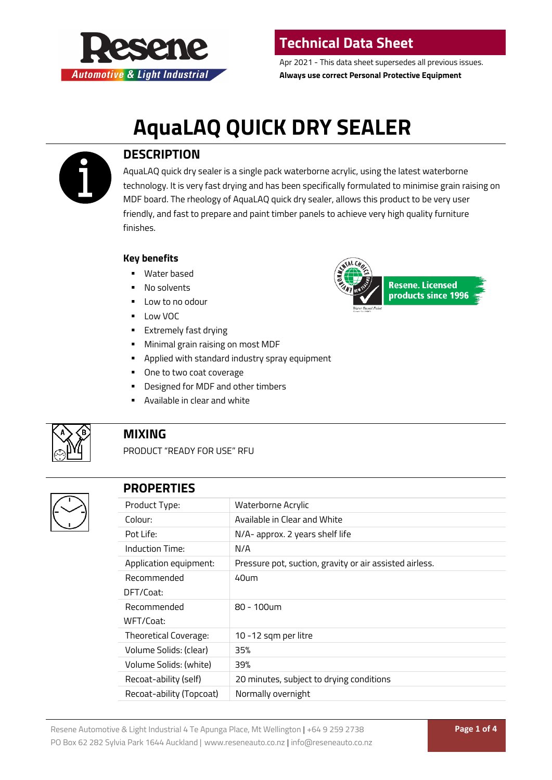

Apr 2021 - This data sheet supersedes all previous issues. **Always use correct Personal Protective Equipment**

# **AquaLAQ QUICK DRY SEALER**



### **DESCRIPTION**

AquaLAQ quick dry sealer is a single pack waterborne acrylic, using the latest waterborne technology. It is very fast drying and has been specifically formulated to minimise grain raising on MDF board. The rheology of AquaLAQ quick dry sealer, allows this product to be very user friendly, and fast to prepare and paint timber panels to achieve very high quality furniture finishes.

#### **Key benefits**

- Water based
- **No solvents**
- $\blacksquare$  Low to no odour
- **Low VOC**
- **Extremely fast drying**
- **Minimal grain raising on most MDF**
- **•** Applied with standard industry spray equipment
- One to two coat coverage
- **•** Designed for MDF and other timbers
- Available in clear and white



#### **MIXING**

PRODUCT "READY FOR USE" RFU



### **PROPERTIES**

| Product Type:            | Waterborne Acrylic                                      |
|--------------------------|---------------------------------------------------------|
| Colour:                  | Available in Clear and White                            |
| Pot Life:                | N/A- approx. 2 years shelf life                         |
| Induction Time:          | N/A                                                     |
| Application equipment:   | Pressure pot, suction, gravity or air assisted airless. |
| Recommended<br>DFT/Coat: | 40um                                                    |
| Recommended<br>WFT/Coat: | 80 - 100um                                              |
| Theoretical Coverage:    | 10 -12 sqm per litre                                    |
| Volume Solids: (clear)   | 35%                                                     |
| Volume Solids: (white)   | 39%                                                     |
| Recoat-ability (self)    | 20 minutes, subject to drying conditions                |
| Recoat-ability (Topcoat) | Normally overnight                                      |

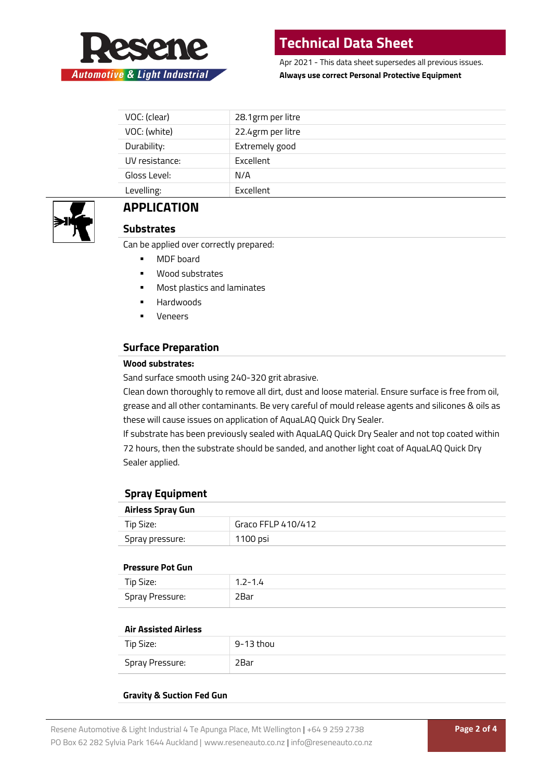

Apr 2021 - This data sheet supersedes all previous issues. **Always use correct Personal Protective Equipment**

| VOC: (clear)   | 28.1grm per litre |
|----------------|-------------------|
| VOC: (white)   | 22.4grm per litre |
| Durability:    | Extremely good    |
| UV resistance: | Excellent         |
| Gloss Level:   | N/A               |
| Levelling:     | Excellent         |
|                |                   |



### **APPLICATION**

#### **Substrates**

Can be applied over correctly prepared:

- MDF board
- Wood substrates
- **Most plastics and laminates**
- **-** Hardwoods
- **veneers**

#### **Surface Preparation**

#### **Wood substrates:**

Sand surface smooth using 240-320 grit abrasive.

Clean down thoroughly to remove all dirt, dust and loose material. Ensure surface is free from oil, grease and all other contaminants. Be very careful of mould release agents and silicones & oils as these will cause issues on application of AquaLAQ Quick Dry Sealer.

If substrate has been previously sealed with AquaLAQ Quick Dry Sealer and not top coated within 72 hours, then the substrate should be sanded, and another light coat of AquaLAQ Quick Dry Sealer applied.

#### **Spray Equipment**

| <b>Airless Spray Gun</b> |                    |
|--------------------------|--------------------|
| Tip Size:                | Graco FFLP 410/412 |
| Spray pressure:          | 1100 psi           |

#### **Pressure Pot Gun**

| .               |         |
|-----------------|---------|
| Tip Size:       | 1.2-1.4 |
| Spray Pressure: | ?Bar    |

#### **Air Assisted Airless**

| Tip Size:       | 9-13 thou |
|-----------------|-----------|
| Spray Pressure: | 2Bar      |

#### **Gravity & Suction Fed Gun**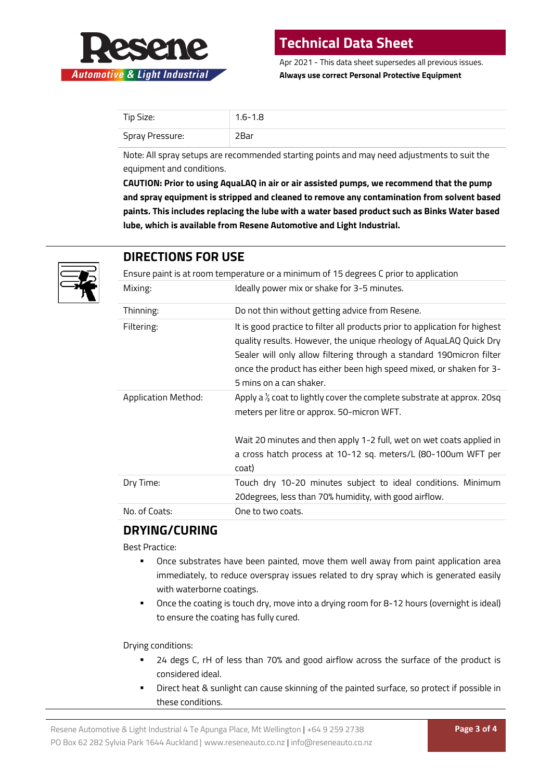

Apr 2021 - This data sheet supersedes all previous issues. **Always use correct Personal Protective Equipment**

| Tip Size:       | $1.6 - 1.8$ |
|-----------------|-------------|
| Spray Pressure: | 2Bar        |

Note: All spray setups are recommended starting points and may need adjustments to suit the equipment and conditions.

**CAUTION: Prior to using AquaLAQ in air or air assisted pumps, we recommend that the pump and spray equipment is stripped and cleaned to remove any contamination from solvent based paints. This includes replacing the lube with a water based product such as Binks Water based lube, which is available from Resene Automotive and Light Industrial.**



### **DIRECTIONS FOR USE**

Ensure paint is at room temperature or a minimum of 15 degrees C prior to application

| Mixing:             | Ideally power mix or shake for 3-5 minutes.                                                                                                                                                                                                                                                                                  |
|---------------------|------------------------------------------------------------------------------------------------------------------------------------------------------------------------------------------------------------------------------------------------------------------------------------------------------------------------------|
| Thinning:           | Do not thin without getting advice from Resene.                                                                                                                                                                                                                                                                              |
| Filtering:          | It is good practice to filter all products prior to application for highest<br>quality results. However, the unique rheology of AquaLAQ Quick Dry<br>Sealer will only allow filtering through a standard 190 micron filter<br>once the product has either been high speed mixed, or shaken for 3-<br>5 mins on a can shaker. |
| Application Method: | Apply a $\frac{1}{2}$ coat to lightly cover the complete substrate at approx. 20sq<br>meters per litre or approx. 50-micron WFT.                                                                                                                                                                                             |
|                     | Wait 20 minutes and then apply 1-2 full, wet on wet coats applied in                                                                                                                                                                                                                                                         |
|                     | a cross hatch process at 10-12 sq. meters/L (80-100um WFT per<br>coat)                                                                                                                                                                                                                                                       |
| Dry Time:           | Touch dry 10-20 minutes subject to ideal conditions. Minimum<br>20 degrees, less than 70% humidity, with good airflow.                                                                                                                                                                                                       |
| No. of Coats:       | One to two coats.                                                                                                                                                                                                                                                                                                            |

### **DRYING/CURING**

Best Practice:

- Once substrates have been painted, move them well away from paint application area immediately, to reduce overspray issues related to dry spray which is generated easily with waterborne coatings.
- Once the coating is touch dry, move into a drying room for 8-12 hours (overnight is ideal) to ensure the coating has fully cured.

Drying conditions:

- 24 degs C, rH of less than 70% and good airflow across the surface of the product is considered ideal.
- Direct heat & sunlight can cause skinning of the painted surface, so protect if possible in these conditions.